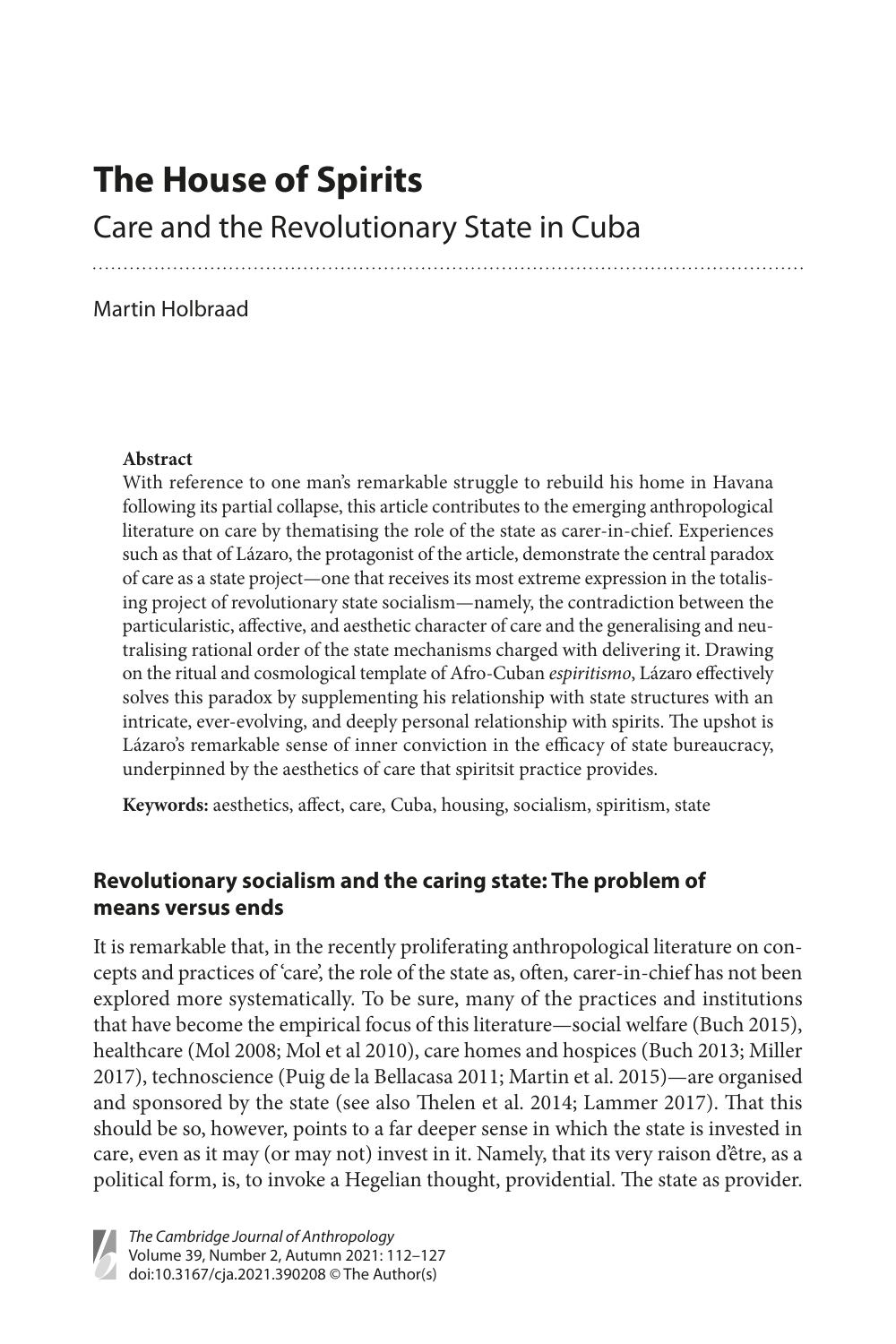# **The House of Spirits**

Care and the Revolutionary State in Cuba

#### Martin Holbraad

#### **Abstract**

With reference to one man's remarkable struggle to rebuild his home in Havana following its partial collapse, this article contributes to the emerging anthropological literature on care by thematising the role of the state as carer-in-chief. Experiences such as that of Lázaro, the protagonist of the article, demonstrate the central paradox of care as a state project—one that receives its most extreme expression in the totalising project of revolutionary state socialism—namely, the contradiction between the particularistic, affective, and aesthetic character of care and the generalising and neutralising rational order of the state mechanisms charged with delivering it. Drawing on the ritual and cosmological template of Afro-Cuban *espiritismo*, Lázaro effectively solves this paradox by supplementing his relationship with state structures with an intricate, ever-evolving, and deeply personal relationship with spirits. The upshot is Lázaro's remarkable sense of inner conviction in the efficacy of state bureaucracy, underpinned by the aesthetics of care that spiritsit practice provides.

**Keywords:** aesthetics, affect, care, Cuba, housing, socialism, spiritism, state

## **Revolutionary socialism and the caring state: The problem of means versus ends**

It is remarkable that, in the recently proliferating anthropological literature on concepts and practices of 'care', the role of the state as, often, carer-in-chief has not been explored more systematically. To be sure, many of the practices and institutions that have become the empirical focus of this literature—social welfare (Buch 2015), healthcare (Mol 2008; Mol et al 2010), care homes and hospices (Buch 2013; Miller 2017), technoscience (Puig de la Bellacasa 2011; Martin et al. 2015)—are organised and sponsored by the state (see also Thelen et al. 2014; Lammer 2017). That this should be so, however, points to a far deeper sense in which the state is invested in care, even as it may (or may not) invest in it. Namely, that its very raison d'être, as a political form, is, to invoke a Hegelian thought, providential. The state as provider.

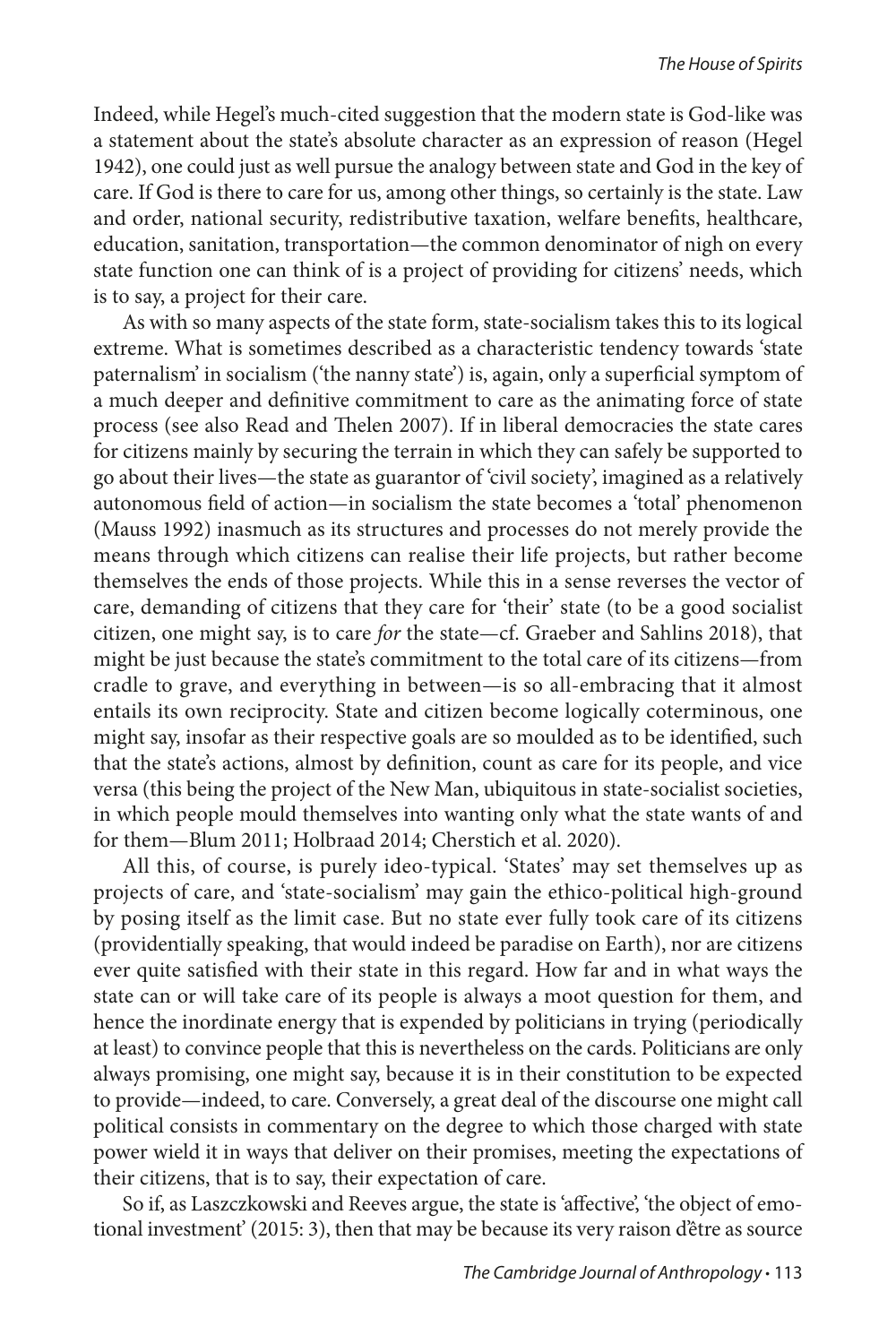Indeed, while Hegel's much-cited suggestion that the modern state is God-like was a statement about the state's absolute character as an expression of reason (Hegel 1942), one could just as well pursue the analogy between state and God in the key of care. If God is there to care for us, among other things, so certainly is the state. Law and order, national security, redistributive taxation, welfare benefits, healthcare, education, sanitation, transportation—the common denominator of nigh on every state function one can think of is a project of providing for citizens' needs, which is to say, a project for their care.

As with so many aspects of the state form, state-socialism takes this to its logical extreme. What is sometimes described as a characteristic tendency towards 'state paternalism' in socialism ('the nanny state') is, again, only a superficial symptom of a much deeper and definitive commitment to care as the animating force of state process (see also Read and Thelen 2007). If in liberal democracies the state cares for citizens mainly by securing the terrain in which they can safely be supported to go about their lives—the state as guarantor of 'civil society', imagined as a relatively autonomous field of action—in socialism the state becomes a 'total' phenomenon (Mauss 1992) inasmuch as its structures and processes do not merely provide the means through which citizens can realise their life projects, but rather become themselves the ends of those projects. While this in a sense reverses the vector of care, demanding of citizens that they care for 'their' state (to be a good socialist citizen, one might say, is to care *for* the state—cf. Graeber and Sahlins 2018), that might be just because the state's commitment to the total care of its citizens—from cradle to grave, and everything in between—is so all-embracing that it almost entails its own reciprocity. State and citizen become logically coterminous, one might say, insofar as their respective goals are so moulded as to be identified, such that the state's actions, almost by definition, count as care for its people, and vice versa (this being the project of the New Man, ubiquitous in state-socialist societies, in which people mould themselves into wanting only what the state wants of and for them—Blum 2011; Holbraad 2014; Cherstich et al. 2020).

All this, of course, is purely ideo-typical. 'States' may set themselves up as projects of care, and 'state-socialism' may gain the ethico-political high-ground by posing itself as the limit case. But no state ever fully took care of its citizens (providentially speaking, that would indeed be paradise on Earth), nor are citizens ever quite satisfied with their state in this regard. How far and in what ways the state can or will take care of its people is always a moot question for them, and hence the inordinate energy that is expended by politicians in trying (periodically at least) to convince people that this is nevertheless on the cards. Politicians are only always promising, one might say, because it is in their constitution to be expected to provide—indeed, to care. Conversely, a great deal of the discourse one might call political consists in commentary on the degree to which those charged with state power wield it in ways that deliver on their promises, meeting the expectations of their citizens, that is to say, their expectation of care.

So if, as Laszczkowski and Reeves argue, the state is 'affective', 'the object of emotional investment' (2015: 3), then that may be because its very raison d'être as source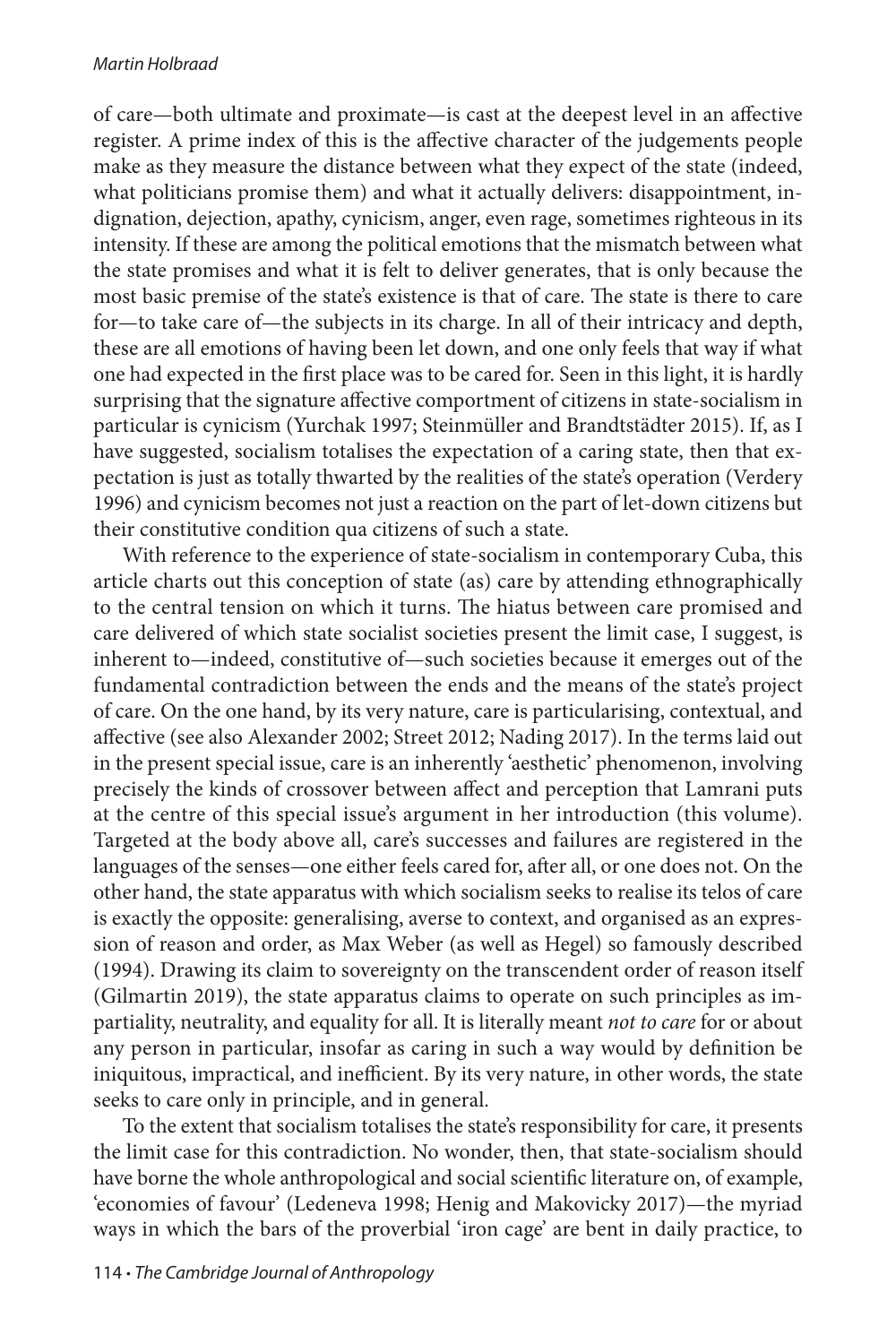of care—both ultimate and proximate—is cast at the deepest level in an affective register. A prime index of this is the affective character of the judgements people make as they measure the distance between what they expect of the state (indeed, what politicians promise them) and what it actually delivers: disappointment, indignation, dejection, apathy, cynicism, anger, even rage, sometimes righteous in its intensity. If these are among the political emotions that the mismatch between what the state promises and what it is felt to deliver generates, that is only because the most basic premise of the state's existence is that of care. The state is there to care for—to take care of—the subjects in its charge. In all of their intricacy and depth, these are all emotions of having been let down, and one only feels that way if what one had expected in the first place was to be cared for. Seen in this light, it is hardly surprising that the signature affective comportment of citizens in state-socialism in particular is cynicism (Yurchak 1997; Steinmüller and Brandtstädter 2015). If, as I have suggested, socialism totalises the expectation of a caring state, then that expectation is just as totally thwarted by the realities of the state's operation (Verdery 1996) and cynicism becomes not just a reaction on the part of let-down citizens but their constitutive condition qua citizens of such a state.

With reference to the experience of state-socialism in contemporary Cuba, this article charts out this conception of state (as) care by attending ethnographically to the central tension on which it turns. The hiatus between care promised and care delivered of which state socialist societies present the limit case, I suggest, is inherent to—indeed, constitutive of—such societies because it emerges out of the fundamental contradiction between the ends and the means of the state's project of care. On the one hand, by its very nature, care is particularising, contextual, and affective (see also Alexander 2002; Street 2012; Nading 2017). In the terms laid out in the present special issue, care is an inherently 'aesthetic' phenomenon, involving precisely the kinds of crossover between affect and perception that Lamrani puts at the centre of this special issue's argument in her introduction (this volume). Targeted at the body above all, care's successes and failures are registered in the languages of the senses—one either feels cared for, after all, or one does not. On the other hand, the state apparatus with which socialism seeks to realise its telos of care is exactly the opposite: generalising, averse to context, and organised as an expression of reason and order, as Max Weber (as well as Hegel) so famously described (1994). Drawing its claim to sovereignty on the transcendent order of reason itself (Gilmartin 2019), the state apparatus claims to operate on such principles as impartiality, neutrality, and equality for all. It is literally meant *not to care* for or about any person in particular, insofar as caring in such a way would by definition be iniquitous, impractical, and inefficient. By its very nature, in other words, the state seeks to care only in principle, and in general.

To the extent that socialism totalises the state's responsibility for care, it presents the limit case for this contradiction. No wonder, then, that state-socialism should have borne the whole anthropological and social scientific literature on, of example, 'economies of favour' (Ledeneva 1998; Henig and Makovicky 2017)—the myriad ways in which the bars of the proverbial 'iron cage' are bent in daily practice, to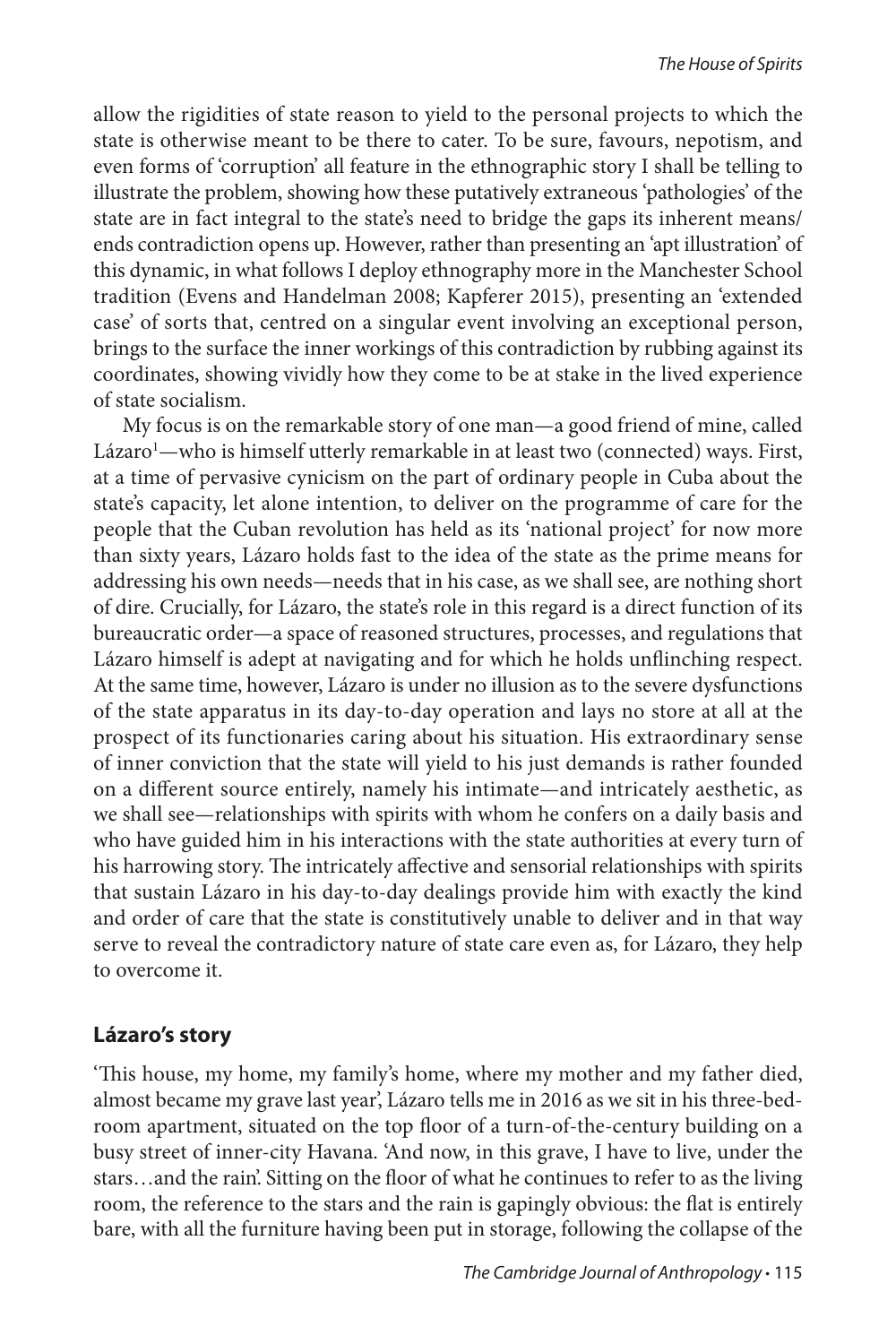allow the rigidities of state reason to yield to the personal projects to which the state is otherwise meant to be there to cater. To be sure, favours, nepotism, and even forms of 'corruption' all feature in the ethnographic story I shall be telling to illustrate the problem, showing how these putatively extraneous 'pathologies' of the state are in fact integral to the state's need to bridge the gaps its inherent means/ ends contradiction opens up. However, rather than presenting an 'apt illustration' of this dynamic, in what follows I deploy ethnography more in the Manchester School tradition (Evens and Handelman 2008; Kapferer 2015), presenting an 'extended case' of sorts that, centred on a singular event involving an exceptional person, brings to the surface the inner workings of this contradiction by rubbing against its coordinates, showing vividly how they come to be at stake in the lived experience of state socialism.

My focus is on the remarkable story of one man—a good friend of mine, called Lázaro<sup>1</sup>—who is himself utterly remarkable in at least two (connected) ways. First, at a time of pervasive cynicism on the part of ordinary people in Cuba about the state's capacity, let alone intention, to deliver on the programme of care for the people that the Cuban revolution has held as its 'national project' for now more than sixty years, Lázaro holds fast to the idea of the state as the prime means for addressing his own needs—needs that in his case, as we shall see, are nothing short of dire. Crucially, for Lázaro, the state's role in this regard is a direct function of its bureaucratic order—a space of reasoned structures, processes, and regulations that Lázaro himself is adept at navigating and for which he holds unflinching respect. At the same time, however, Lázaro is under no illusion as to the severe dysfunctions of the state apparatus in its day-to-day operation and lays no store at all at the prospect of its functionaries caring about his situation. His extraordinary sense of inner conviction that the state will yield to his just demands is rather founded on a different source entirely, namely his intimate—and intricately aesthetic, as we shall see—relationships with spirits with whom he confers on a daily basis and who have guided him in his interactions with the state authorities at every turn of his harrowing story. The intricately affective and sensorial relationships with spirits that sustain Lázaro in his day-to-day dealings provide him with exactly the kind and order of care that the state is constitutively unable to deliver and in that way serve to reveal the contradictory nature of state care even as, for Lázaro, they help to overcome it.

## **Lázaro's story**

'This house, my home, my family's home, where my mother and my father died, almost became my grave last year', Lázaro tells me in 2016 as we sit in his three-bedroom apartment, situated on the top floor of a turn-of-the-century building on a busy street of inner-city Havana. 'And now, in this grave, I have to live, under the stars…and the rain'. Sitting on the floor of what he continues to refer to as the living room, the reference to the stars and the rain is gapingly obvious: the flat is entirely bare, with all the furniture having been put in storage, following the collapse of the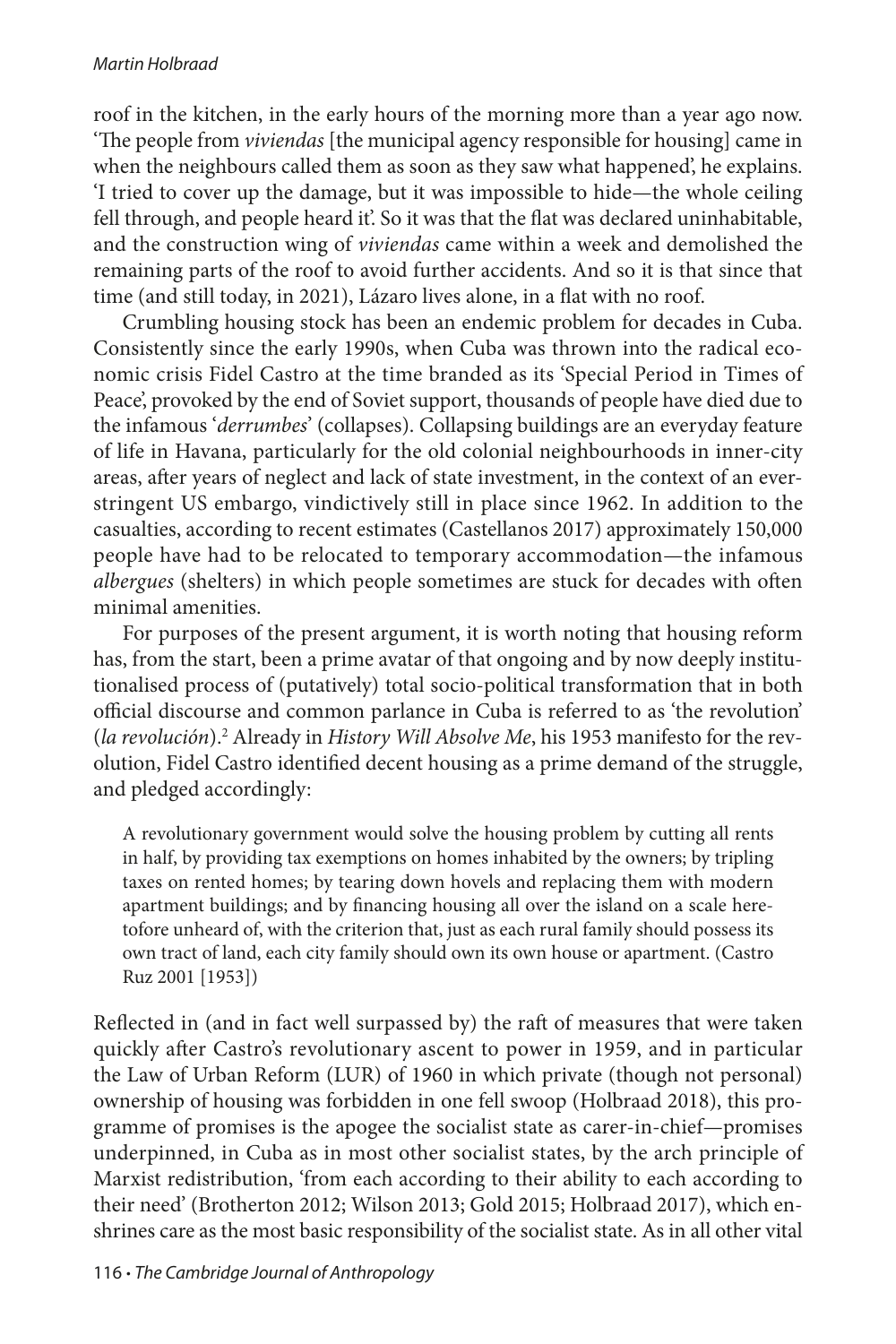roof in the kitchen, in the early hours of the morning more than a year ago now. 'The people from *viviendas* [the municipal agency responsible for housing] came in when the neighbours called them as soon as they saw what happened', he explains. 'I tried to cover up the damage, but it was impossible to hide—the whole ceiling fell through, and people heard it'. So it was that the flat was declared uninhabitable, and the construction wing of *viviendas* came within a week and demolished the remaining parts of the roof to avoid further accidents. And so it is that since that time (and still today, in 2021), Lázaro lives alone, in a flat with no roof.

Crumbling housing stock has been an endemic problem for decades in Cuba. Consistently since the early 1990s, when Cuba was thrown into the radical economic crisis Fidel Castro at the time branded as its 'Special Period in Times of Peace', provoked by the end of Soviet support, thousands of people have died due to the infamous '*derrumbes*' (collapses). Collapsing buildings are an everyday feature of life in Havana, particularly for the old colonial neighbourhoods in inner-city areas, after years of neglect and lack of state investment, in the context of an everstringent US embargo, vindictively still in place since 1962. In addition to the casualties, according to recent estimates (Castellanos 2017) approximately 150,000 people have had to be relocated to temporary accommodation—the infamous *albergues* (shelters) in which people sometimes are stuck for decades with often minimal amenities.

For purposes of the present argument, it is worth noting that housing reform has, from the start, been a prime avatar of that ongoing and by now deeply institutionalised process of (putatively) total socio-political transformation that in both official discourse and common parlance in Cuba is referred to as 'the revolution' (la revolución).<sup>2</sup> Already in *History Will Absolve Me*, his 1953 manifesto for the revolution, Fidel Castro identified decent housing as a prime demand of the struggle, and pledged accordingly:

A revolutionary government would solve the housing problem by cutting all rents in half, by providing tax exemptions on homes inhabited by the owners; by tripling taxes on rented homes; by tearing down hovels and replacing them with modern apartment buildings; and by financing housing all over the island on a scale heretofore unheard of, with the criterion that, just as each rural family should possess its own tract of land, each city family should own its own house or apartment. (Castro Ruz 2001 [1953])

Reflected in (and in fact well surpassed by) the raft of measures that were taken quickly after Castro's revolutionary ascent to power in 1959, and in particular the Law of Urban Reform (LUR) of 1960 in which private (though not personal) ownership of housing was forbidden in one fell swoop (Holbraad 2018), this programme of promises is the apogee the socialist state as carer-in-chief—promises underpinned, in Cuba as in most other socialist states, by the arch principle of Marxist redistribution, 'from each according to their ability to each according to their need' (Brotherton 2012; Wilson 2013; Gold 2015; Holbraad 2017), which enshrines care as the most basic responsibility of the socialist state. As in all other vital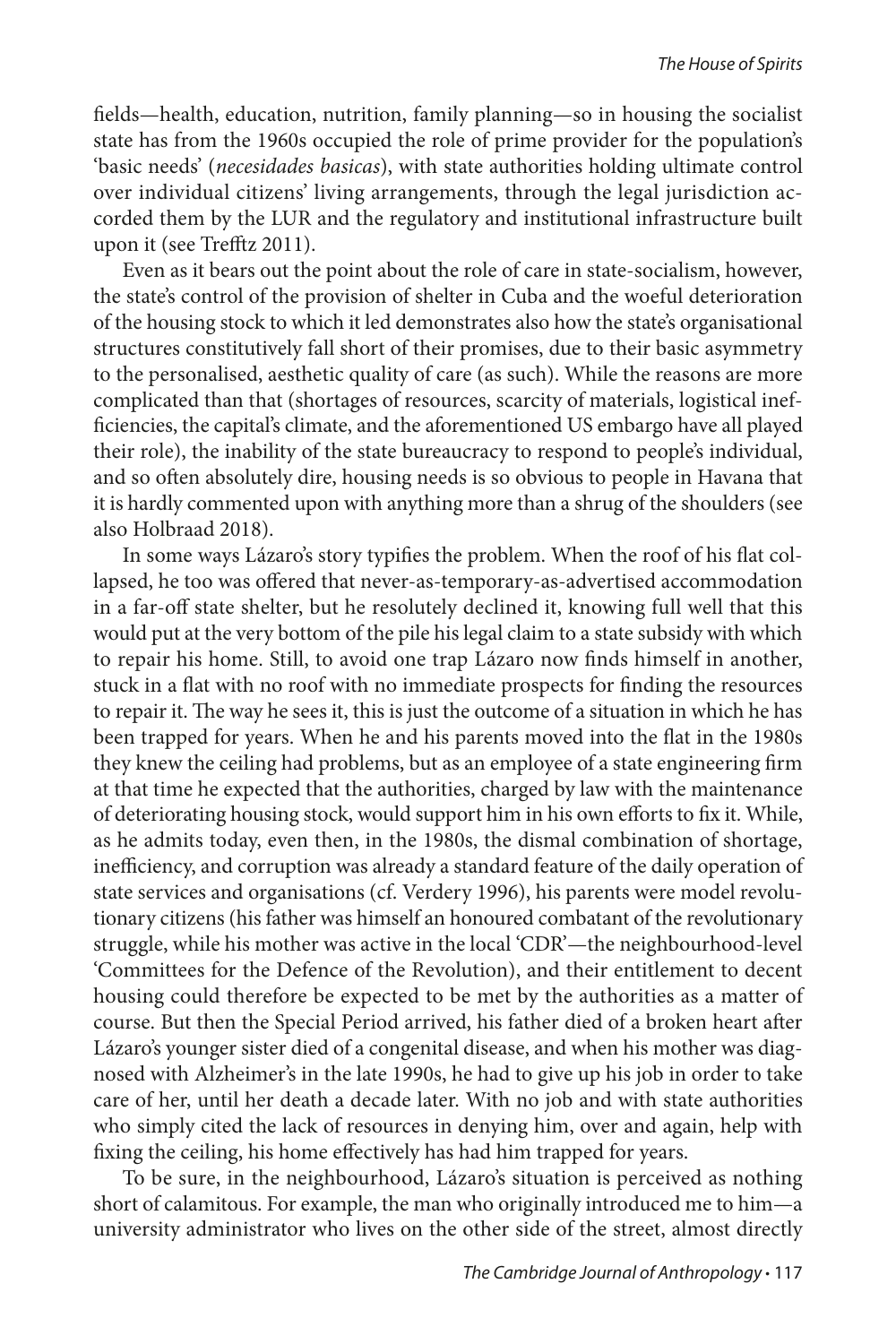fields—health, education, nutrition, family planning—so in housing the socialist state has from the 1960s occupied the role of prime provider for the population's 'basic needs' (*necesidades basicas*), with state authorities holding ultimate control over individual citizens' living arrangements, through the legal jurisdiction accorded them by the LUR and the regulatory and institutional infrastructure built upon it (see Trefftz 2011).

Even as it bears out the point about the role of care in state-socialism, however, the state's control of the provision of shelter in Cuba and the woeful deterioration of the housing stock to which it led demonstrates also how the state's organisational structures constitutively fall short of their promises, due to their basic asymmetry to the personalised, aesthetic quality of care (as such). While the reasons are more complicated than that (shortages of resources, scarcity of materials, logistical inefficiencies, the capital's climate, and the aforementioned US embargo have all played their role), the inability of the state bureaucracy to respond to people's individual, and so often absolutely dire, housing needs is so obvious to people in Havana that it is hardly commented upon with anything more than a shrug of the shoulders (see also Holbraad 2018).

In some ways Lázaro's story typifies the problem. When the roof of his flat collapsed, he too was offered that never-as-temporary-as-advertised accommodation in a far-off state shelter, but he resolutely declined it, knowing full well that this would put at the very bottom of the pile his legal claim to a state subsidy with which to repair his home. Still, to avoid one trap Lázaro now finds himself in another, stuck in a flat with no roof with no immediate prospects for finding the resources to repair it. The way he sees it, this is just the outcome of a situation in which he has been trapped for years. When he and his parents moved into the flat in the 1980s they knew the ceiling had problems, but as an employee of a state engineering firm at that time he expected that the authorities, charged by law with the maintenance of deteriorating housing stock, would support him in his own efforts to fix it. While, as he admits today, even then, in the 1980s, the dismal combination of shortage, inefficiency, and corruption was already a standard feature of the daily operation of state services and organisations (cf. Verdery 1996), his parents were model revolutionary citizens (his father was himself an honoured combatant of the revolutionary struggle, while his mother was active in the local 'CDR'—the neighbourhood-level 'Committees for the Defence of the Revolution), and their entitlement to decent housing could therefore be expected to be met by the authorities as a matter of course. But then the Special Period arrived, his father died of a broken heart after Lázaro's younger sister died of a congenital disease, and when his mother was diagnosed with Alzheimer's in the late 1990s, he had to give up his job in order to take care of her, until her death a decade later. With no job and with state authorities who simply cited the lack of resources in denying him, over and again, help with fixing the ceiling, his home effectively has had him trapped for years.

To be sure, in the neighbourhood, Lázaro's situation is perceived as nothing short of calamitous. For example, the man who originally introduced me to him—a university administrator who lives on the other side of the street, almost directly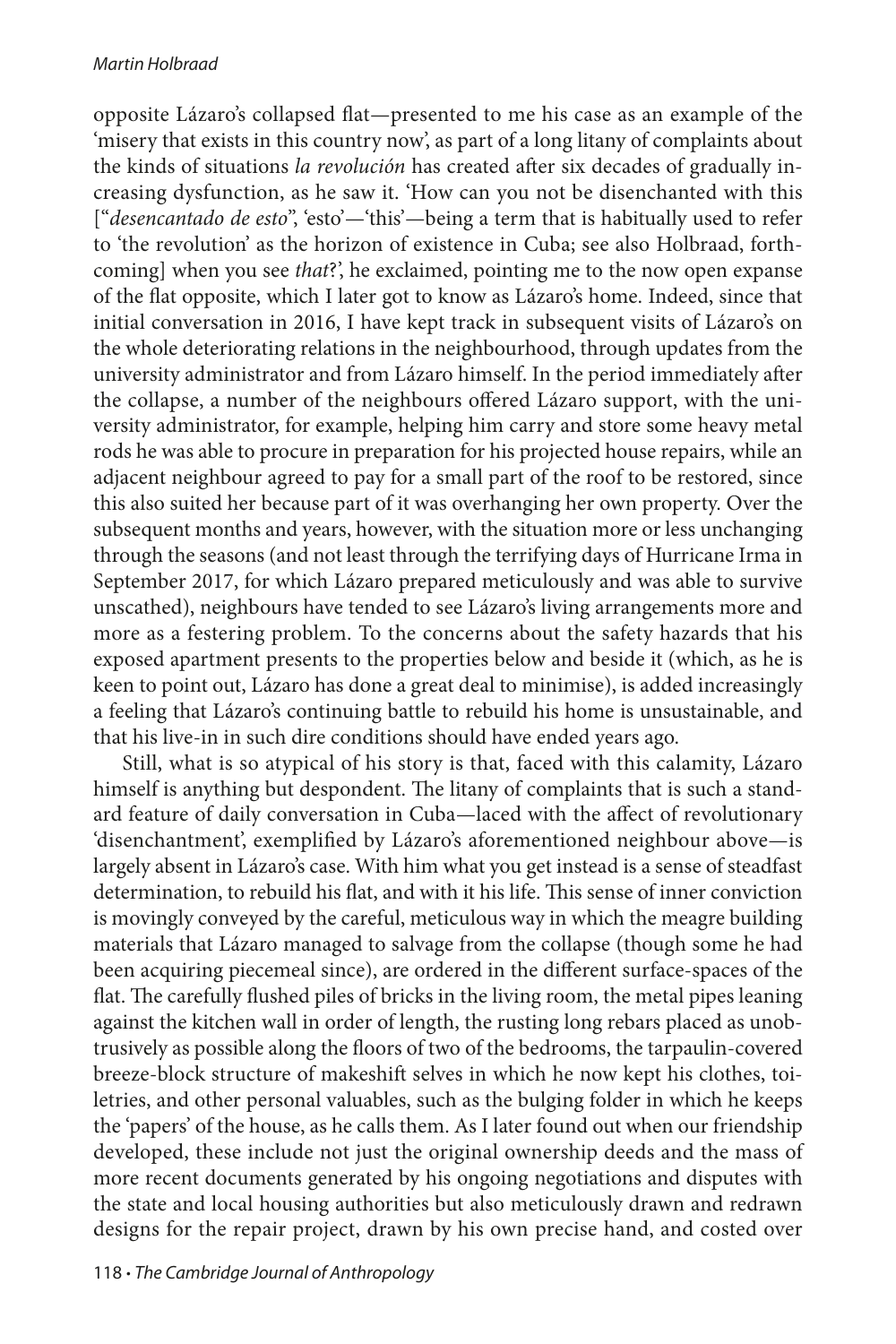#### *Martin Holbraad*

opposite Lázaro's collapsed flat—presented to me his case as an example of the 'misery that exists in this country now', as part of a long litany of complaints about the kinds of situations *la revolución* has created after six decades of gradually increasing dysfunction, as he saw it. 'How can you not be disenchanted with this ["*desencantado de esto*", 'esto'—'this'—being a term that is habitually used to refer to 'the revolution' as the horizon of existence in Cuba; see also Holbraad, forthcoming] when you see *that*?', he exclaimed, pointing me to the now open expanse of the flat opposite, which I later got to know as Lázaro's home. Indeed, since that initial conversation in 2016, I have kept track in subsequent visits of Lázaro's on the whole deteriorating relations in the neighbourhood, through updates from the university administrator and from Lázaro himself. In the period immediately after the collapse, a number of the neighbours offered Lázaro support, with the university administrator, for example, helping him carry and store some heavy metal rods he was able to procure in preparation for his projected house repairs, while an adjacent neighbour agreed to pay for a small part of the roof to be restored, since this also suited her because part of it was overhanging her own property. Over the subsequent months and years, however, with the situation more or less unchanging through the seasons (and not least through the terrifying days of Hurricane Irma in September 2017, for which Lázaro prepared meticulously and was able to survive unscathed), neighbours have tended to see Lázaro's living arrangements more and more as a festering problem. To the concerns about the safety hazards that his exposed apartment presents to the properties below and beside it (which, as he is keen to point out, Lázaro has done a great deal to minimise), is added increasingly a feeling that Lázaro's continuing battle to rebuild his home is unsustainable, and that his live-in in such dire conditions should have ended years ago.

Still, what is so atypical of his story is that, faced with this calamity, Lázaro himself is anything but despondent. The litany of complaints that is such a standard feature of daily conversation in Cuba—laced with the affect of revolutionary 'disenchantment', exemplified by Lázaro's aforementioned neighbour above—is largely absent in Lázaro's case. With him what you get instead is a sense of steadfast determination, to rebuild his flat, and with it his life. This sense of inner conviction is movingly conveyed by the careful, meticulous way in which the meagre building materials that Lázaro managed to salvage from the collapse (though some he had been acquiring piecemeal since), are ordered in the different surface-spaces of the flat. The carefully flushed piles of bricks in the living room, the metal pipes leaning against the kitchen wall in order of length, the rusting long rebars placed as unobtrusively as possible along the floors of two of the bedrooms, the tarpaulin-covered breeze-block structure of makeshift selves in which he now kept his clothes, toiletries, and other personal valuables, such as the bulging folder in which he keeps the 'papers' of the house, as he calls them. As I later found out when our friendship developed, these include not just the original ownership deeds and the mass of more recent documents generated by his ongoing negotiations and disputes with the state and local housing authorities but also meticulously drawn and redrawn designs for the repair project, drawn by his own precise hand, and costed over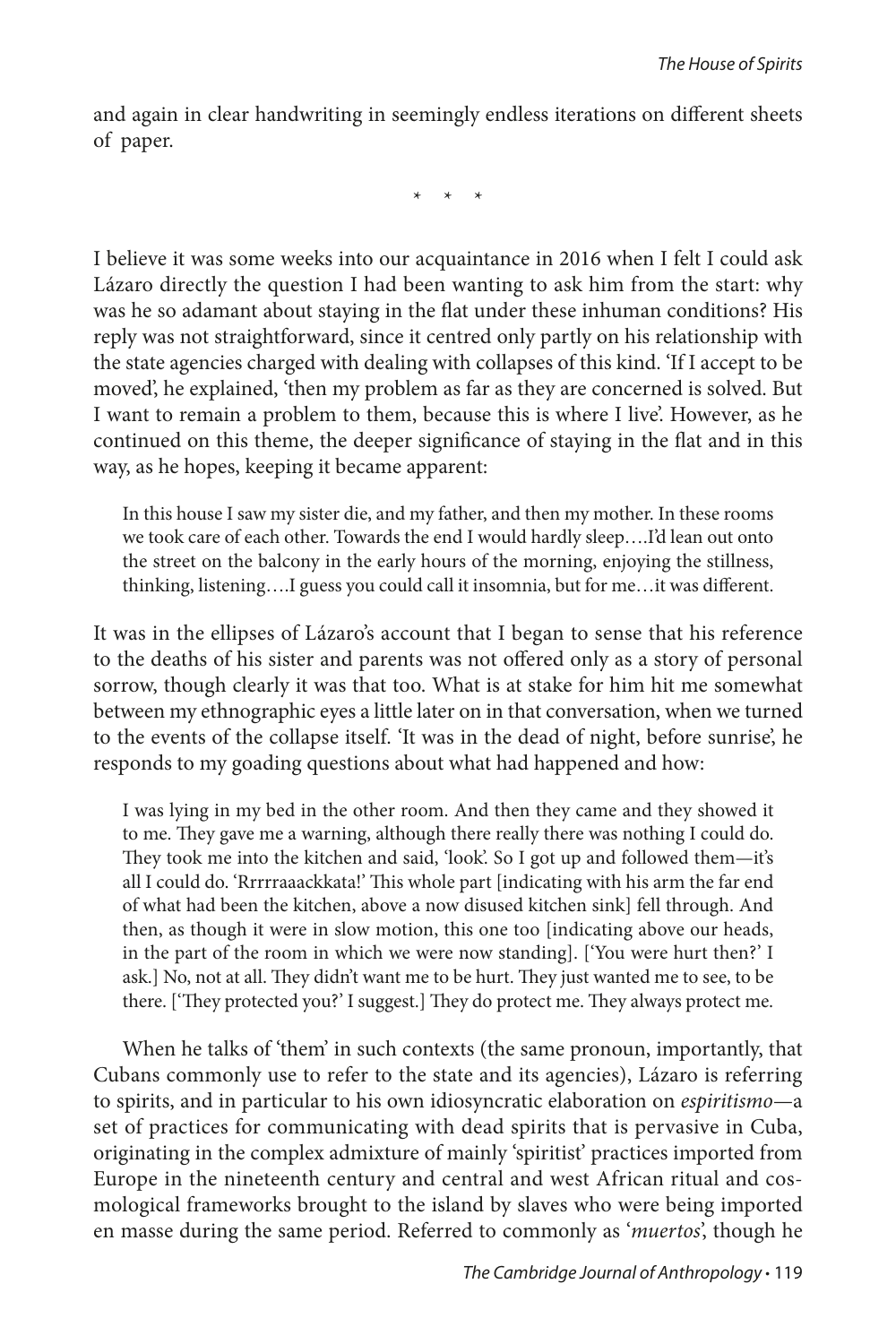and again in clear handwriting in seemingly endless iterations on different sheets of paper.

\* \* \*

I believe it was some weeks into our acquaintance in 2016 when I felt I could ask Lázaro directly the question I had been wanting to ask him from the start: why was he so adamant about staying in the flat under these inhuman conditions? His reply was not straightforward, since it centred only partly on his relationship with the state agencies charged with dealing with collapses of this kind. 'If I accept to be moved', he explained, 'then my problem as far as they are concerned is solved. But I want to remain a problem to them, because this is where I live'. However, as he continued on this theme, the deeper significance of staying in the flat and in this way, as he hopes, keeping it became apparent:

In this house I saw my sister die, and my father, and then my mother. In these rooms we took care of each other. Towards the end I would hardly sleep….I'd lean out onto the street on the balcony in the early hours of the morning, enjoying the stillness, thinking, listening….I guess you could call it insomnia, but for me…it was different.

It was in the ellipses of Lázaro's account that I began to sense that his reference to the deaths of his sister and parents was not offered only as a story of personal sorrow, though clearly it was that too. What is at stake for him hit me somewhat between my ethnographic eyes a little later on in that conversation, when we turned to the events of the collapse itself. 'It was in the dead of night, before sunrise', he responds to my goading questions about what had happened and how:

I was lying in my bed in the other room. And then they came and they showed it to me. They gave me a warning, although there really there was nothing I could do. They took me into the kitchen and said, 'look'. So I got up and followed them—it's all I could do. 'Rrrrraaackkata!' This whole part [indicating with his arm the far end of what had been the kitchen, above a now disused kitchen sink] fell through. And then, as though it were in slow motion, this one too [indicating above our heads, in the part of the room in which we were now standing]. ['You were hurt then?' I ask.] No, not at all. They didn't want me to be hurt. They just wanted me to see, to be there. ['They protected you?' I suggest.] They do protect me. They always protect me.

When he talks of 'them' in such contexts (the same pronoun, importantly, that Cubans commonly use to refer to the state and its agencies), Lázaro is referring to spirits, and in particular to his own idiosyncratic elaboration on *espiritismo*—a set of practices for communicating with dead spirits that is pervasive in Cuba, originating in the complex admixture of mainly 'spiritist' practices imported from Europe in the nineteenth century and central and west African ritual and cosmological frameworks brought to the island by slaves who were being imported en masse during the same period. Referred to commonly as '*muertos*', though he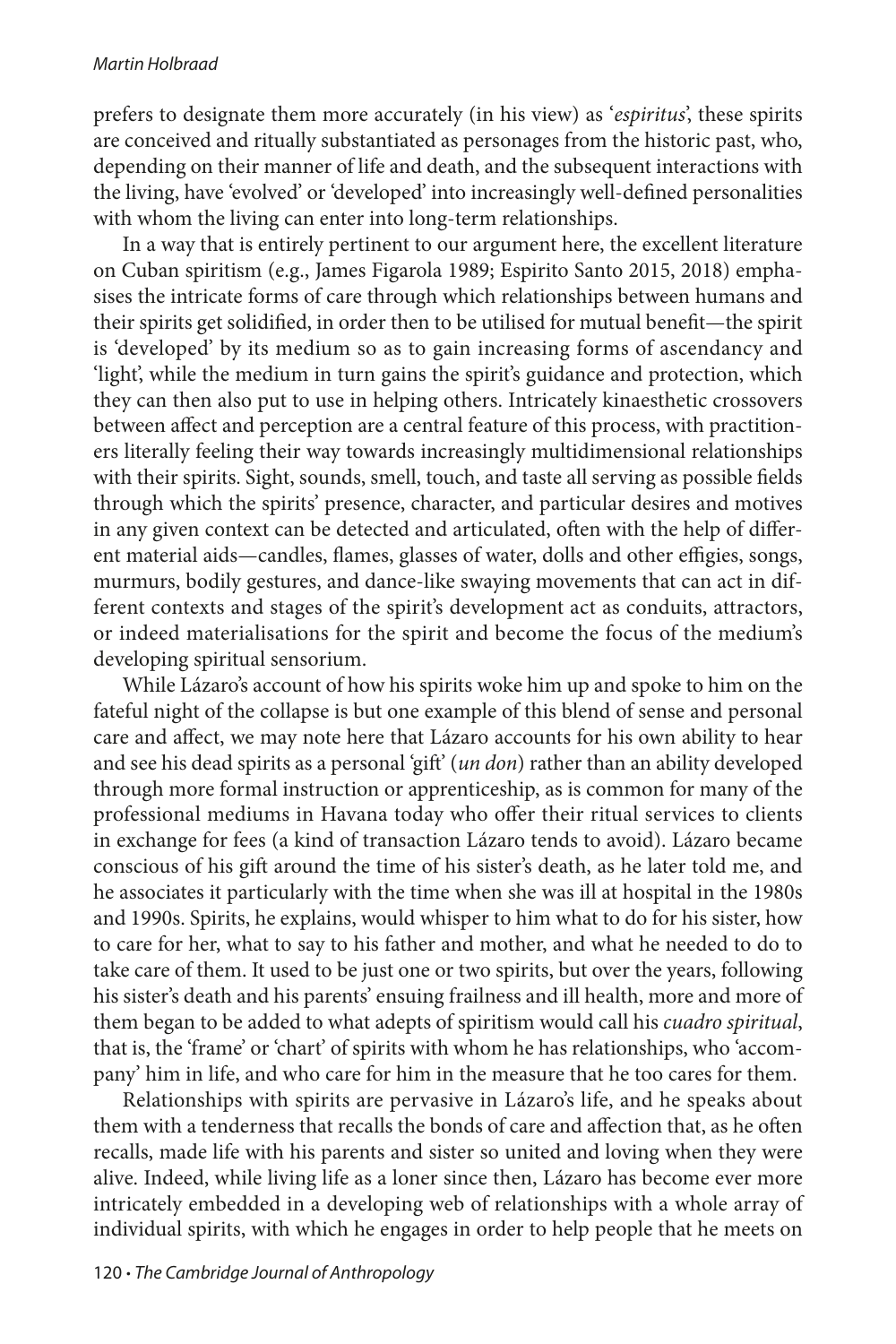prefers to designate them more accurately (in his view) as '*espiritus*', these spirits are conceived and ritually substantiated as personages from the historic past, who, depending on their manner of life and death, and the subsequent interactions with the living, have 'evolved' or 'developed' into increasingly well-defined personalities with whom the living can enter into long-term relationships.

In a way that is entirely pertinent to our argument here, the excellent literature on Cuban spiritism (e.g., James Figarola 1989; Espirito Santo 2015, 2018) emphasises the intricate forms of care through which relationships between humans and their spirits get solidified, in order then to be utilised for mutual benefit—the spirit is 'developed' by its medium so as to gain increasing forms of ascendancy and 'light', while the medium in turn gains the spirit's guidance and protection, which they can then also put to use in helping others. Intricately kinaesthetic crossovers between affect and perception are a central feature of this process, with practitioners literally feeling their way towards increasingly multidimensional relationships with their spirits. Sight, sounds, smell, touch, and taste all serving as possible fields through which the spirits' presence, character, and particular desires and motives in any given context can be detected and articulated, often with the help of different material aids—candles, flames, glasses of water, dolls and other effigies, songs, murmurs, bodily gestures, and dance-like swaying movements that can act in different contexts and stages of the spirit's development act as conduits, attractors, or indeed materialisations for the spirit and become the focus of the medium's developing spiritual sensorium.

While Lázaro's account of how his spirits woke him up and spoke to him on the fateful night of the collapse is but one example of this blend of sense and personal care and affect, we may note here that Lázaro accounts for his own ability to hear and see his dead spirits as a personal 'gift' (*un don*) rather than an ability developed through more formal instruction or apprenticeship, as is common for many of the professional mediums in Havana today who offer their ritual services to clients in exchange for fees (a kind of transaction Lázaro tends to avoid). Lázaro became conscious of his gift around the time of his sister's death, as he later told me, and he associates it particularly with the time when she was ill at hospital in the 1980s and 1990s. Spirits, he explains, would whisper to him what to do for his sister, how to care for her, what to say to his father and mother, and what he needed to do to take care of them. It used to be just one or two spirits, but over the years, following his sister's death and his parents' ensuing frailness and ill health, more and more of them began to be added to what adepts of spiritism would call his *cuadro spiritual*, that is, the 'frame' or 'chart' of spirits with whom he has relationships, who 'accompany' him in life, and who care for him in the measure that he too cares for them.

Relationships with spirits are pervasive in Lázaro's life, and he speaks about them with a tenderness that recalls the bonds of care and affection that, as he often recalls, made life with his parents and sister so united and loving when they were alive. Indeed, while living life as a loner since then, Lázaro has become ever more intricately embedded in a developing web of relationships with a whole array of individual spirits, with which he engages in order to help people that he meets on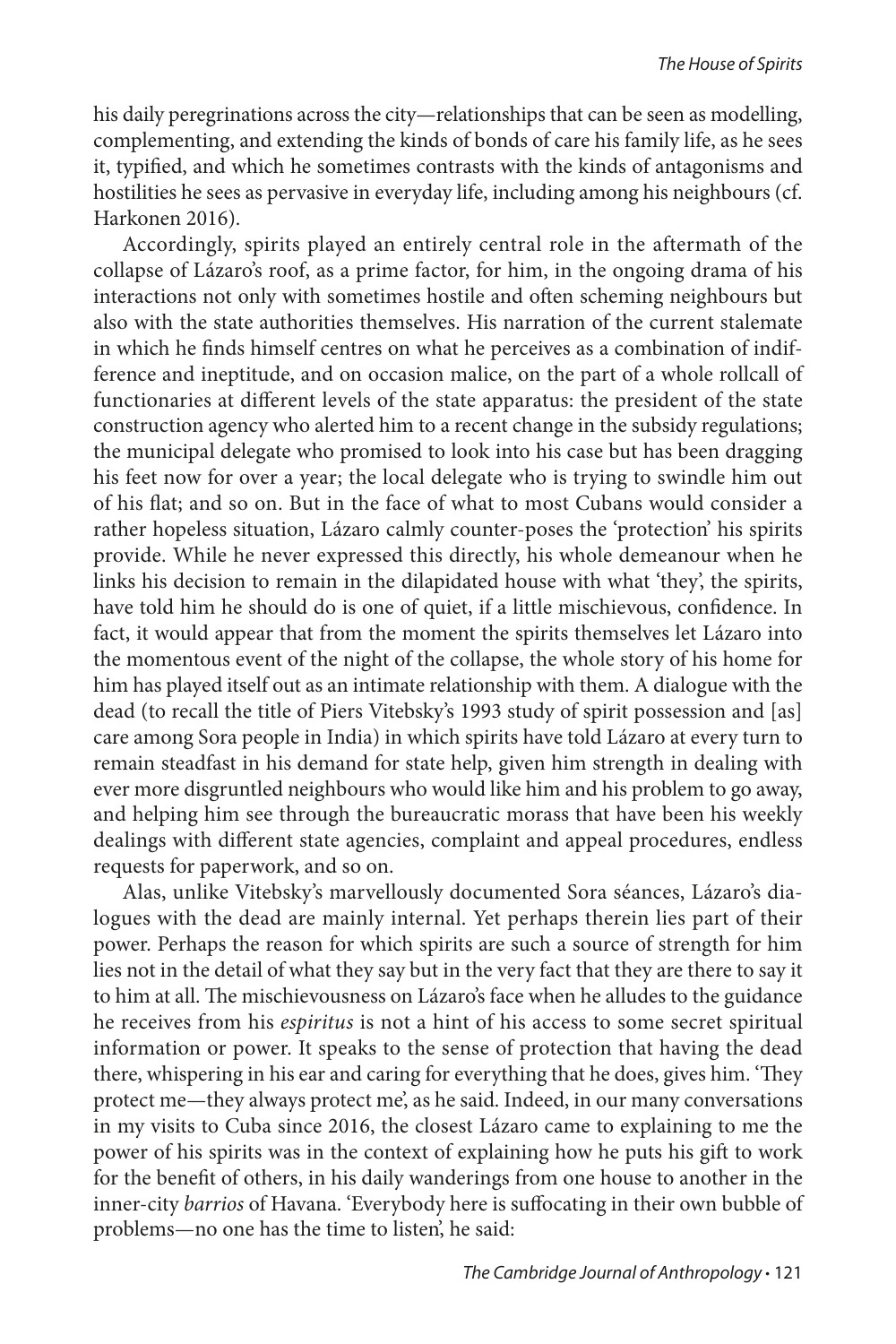his daily peregrinations across the city—relationships that can be seen as modelling, complementing, and extending the kinds of bonds of care his family life, as he sees it, typified, and which he sometimes contrasts with the kinds of antagonisms and hostilities he sees as pervasive in everyday life, including among his neighbours (cf. Harkonen 2016).

Accordingly, spirits played an entirely central role in the aftermath of the collapse of Lázaro's roof, as a prime factor, for him, in the ongoing drama of his interactions not only with sometimes hostile and often scheming neighbours but also with the state authorities themselves. His narration of the current stalemate in which he finds himself centres on what he perceives as a combination of indifference and ineptitude, and on occasion malice, on the part of a whole rollcall of functionaries at different levels of the state apparatus: the president of the state construction agency who alerted him to a recent change in the subsidy regulations; the municipal delegate who promised to look into his case but has been dragging his feet now for over a year; the local delegate who is trying to swindle him out of his flat; and so on. But in the face of what to most Cubans would consider a rather hopeless situation, Lázaro calmly counter-poses the 'protection' his spirits provide. While he never expressed this directly, his whole demeanour when he links his decision to remain in the dilapidated house with what 'they', the spirits, have told him he should do is one of quiet, if a little mischievous, confidence. In fact, it would appear that from the moment the spirits themselves let Lázaro into the momentous event of the night of the collapse, the whole story of his home for him has played itself out as an intimate relationship with them. A dialogue with the dead (to recall the title of Piers Vitebsky's 1993 study of spirit possession and [as] care among Sora people in India) in which spirits have told Lázaro at every turn to remain steadfast in his demand for state help, given him strength in dealing with ever more disgruntled neighbours who would like him and his problem to go away, and helping him see through the bureaucratic morass that have been his weekly dealings with different state agencies, complaint and appeal procedures, endless requests for paperwork, and so on.

Alas, unlike Vitebsky's marvellously documented Sora séances, Lázaro's dialogues with the dead are mainly internal. Yet perhaps therein lies part of their power. Perhaps the reason for which spirits are such a source of strength for him lies not in the detail of what they say but in the very fact that they are there to say it to him at all. The mischievousness on Lázaro's face when he alludes to the guidance he receives from his *espiritus* is not a hint of his access to some secret spiritual information or power. It speaks to the sense of protection that having the dead there, whispering in his ear and caring for everything that he does, gives him. 'They protect me—they always protect me', as he said. Indeed, in our many conversations in my visits to Cuba since 2016, the closest Lázaro came to explaining to me the power of his spirits was in the context of explaining how he puts his gift to work for the benefit of others, in his daily wanderings from one house to another in the inner-city *barrios* of Havana. 'Everybody here is suffocating in their own bubble of problems—no one has the time to listen', he said: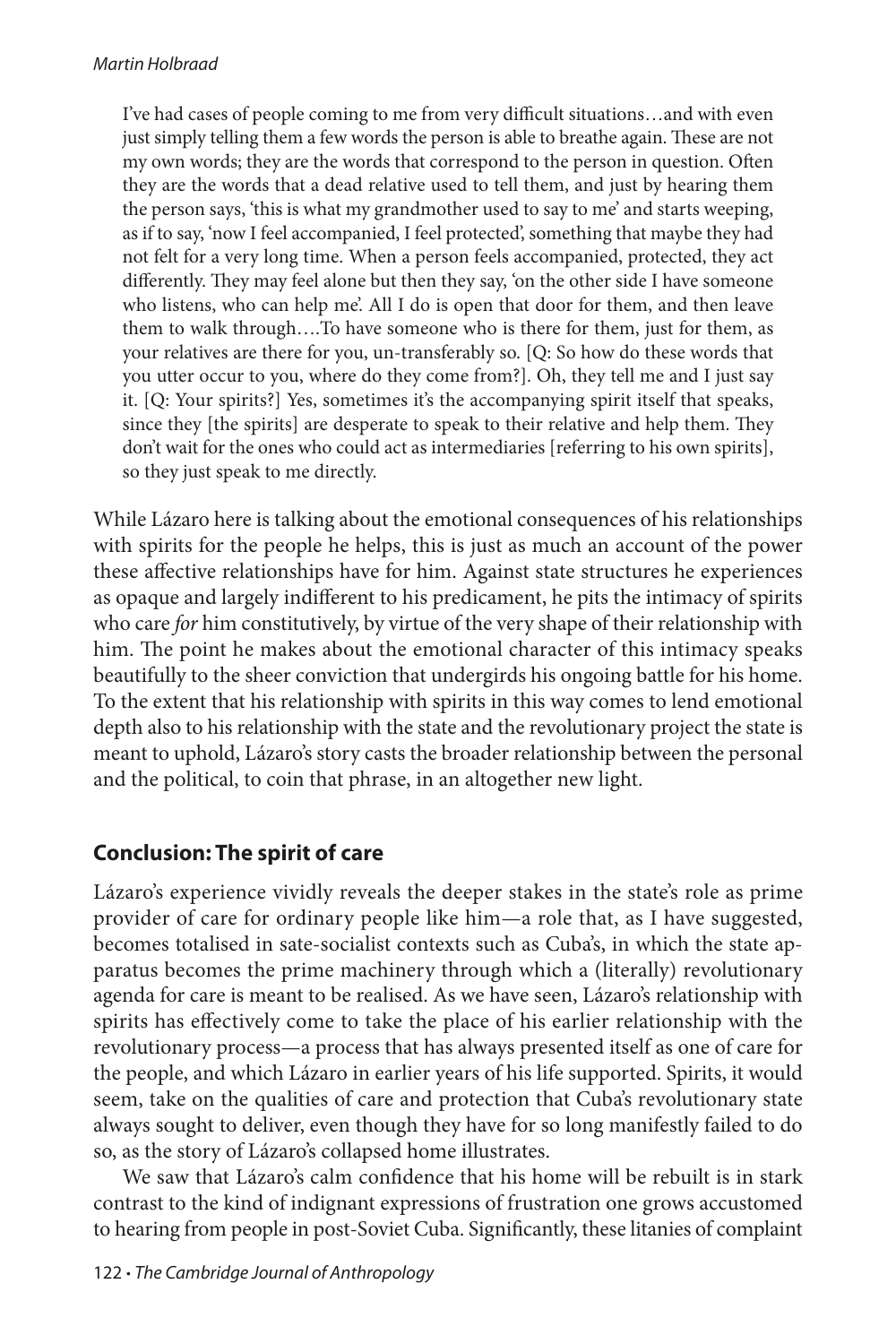I've had cases of people coming to me from very difficult situations…and with even just simply telling them a few words the person is able to breathe again. These are not my own words; they are the words that correspond to the person in question. Often they are the words that a dead relative used to tell them, and just by hearing them the person says, 'this is what my grandmother used to say to me' and starts weeping, as if to say, 'now I feel accompanied, I feel protected', something that maybe they had not felt for a very long time. When a person feels accompanied, protected, they act differently. They may feel alone but then they say, 'on the other side I have someone who listens, who can help me'. All I do is open that door for them, and then leave them to walk through….To have someone who is there for them, just for them, as your relatives are there for you, un-transferably so. [Q: So how do these words that you utter occur to you, where do they come from?]. Oh, they tell me and I just say it. [Q: Your spirits?] Yes, sometimes it's the accompanying spirit itself that speaks, since they [the spirits] are desperate to speak to their relative and help them. They don't wait for the ones who could act as intermediaries [referring to his own spirits], so they just speak to me directly.

While Lázaro here is talking about the emotional consequences of his relationships with spirits for the people he helps, this is just as much an account of the power these affective relationships have for him. Against state structures he experiences as opaque and largely indifferent to his predicament, he pits the intimacy of spirits who care *for* him constitutively, by virtue of the very shape of their relationship with him. The point he makes about the emotional character of this intimacy speaks beautifully to the sheer conviction that undergirds his ongoing battle for his home. To the extent that his relationship with spirits in this way comes to lend emotional depth also to his relationship with the state and the revolutionary project the state is meant to uphold, Lázaro's story casts the broader relationship between the personal and the political, to coin that phrase, in an altogether new light.

## **Conclusion: The spirit of care**

Lázaro's experience vividly reveals the deeper stakes in the state's role as prime provider of care for ordinary people like him—a role that, as I have suggested, becomes totalised in sate-socialist contexts such as Cuba's, in which the state apparatus becomes the prime machinery through which a (literally) revolutionary agenda for care is meant to be realised. As we have seen, Lázaro's relationship with spirits has effectively come to take the place of his earlier relationship with the revolutionary process—a process that has always presented itself as one of care for the people, and which Lázaro in earlier years of his life supported. Spirits, it would seem, take on the qualities of care and protection that Cuba's revolutionary state always sought to deliver, even though they have for so long manifestly failed to do so, as the story of Lázaro's collapsed home illustrates.

We saw that Lázaro's calm confidence that his home will be rebuilt is in stark contrast to the kind of indignant expressions of frustration one grows accustomed to hearing from people in post-Soviet Cuba. Significantly, these litanies of complaint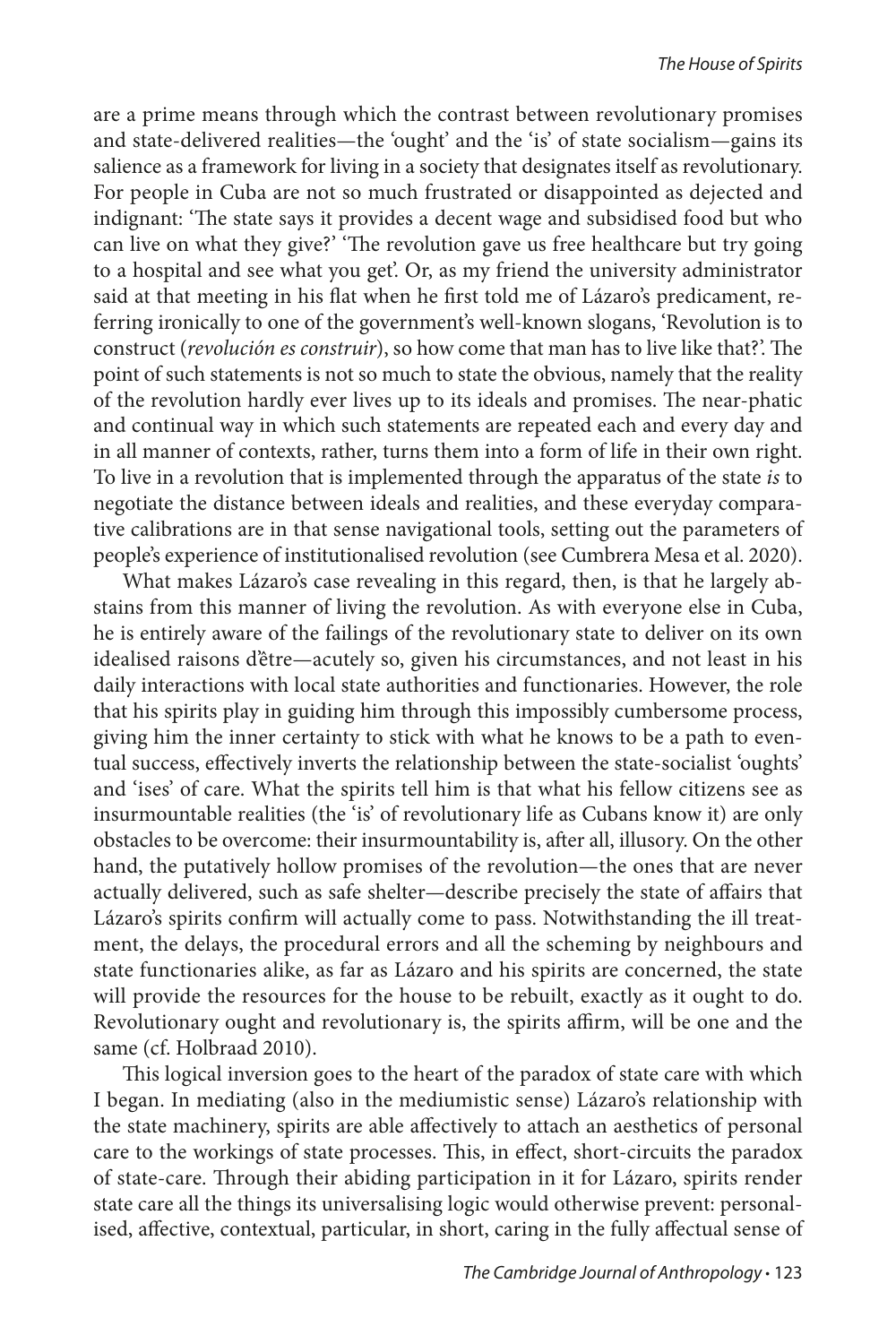are a prime means through which the contrast between revolutionary promises and state-delivered realities—the 'ought' and the 'is' of state socialism—gains its salience as a framework for living in a society that designates itself as revolutionary. For people in Cuba are not so much frustrated or disappointed as dejected and indignant: 'The state says it provides a decent wage and subsidised food but who can live on what they give?' 'The revolution gave us free healthcare but try going to a hospital and see what you get'. Or, as my friend the university administrator said at that meeting in his flat when he first told me of Lázaro's predicament, referring ironically to one of the government's well-known slogans, 'Revolution is to construct (*revolución es construir*), so how come that man has to live like that?'. The point of such statements is not so much to state the obvious, namely that the reality of the revolution hardly ever lives up to its ideals and promises. The near-phatic and continual way in which such statements are repeated each and every day and in all manner of contexts, rather, turns them into a form of life in their own right. To live in a revolution that is implemented through the apparatus of the state *is* to negotiate the distance between ideals and realities, and these everyday comparative calibrations are in that sense navigational tools, setting out the parameters of people's experience of institutionalised revolution (see Cumbrera Mesa et al. 2020).

What makes Lázaro's case revealing in this regard, then, is that he largely abstains from this manner of living the revolution. As with everyone else in Cuba, he is entirely aware of the failings of the revolutionary state to deliver on its own idealised raisons d'être—acutely so, given his circumstances, and not least in his daily interactions with local state authorities and functionaries. However, the role that his spirits play in guiding him through this impossibly cumbersome process, giving him the inner certainty to stick with what he knows to be a path to eventual success, effectively inverts the relationship between the state-socialist 'oughts' and 'ises' of care. What the spirits tell him is that what his fellow citizens see as insurmountable realities (the 'is' of revolutionary life as Cubans know it) are only obstacles to be overcome: their insurmountability is, after all, illusory. On the other hand, the putatively hollow promises of the revolution—the ones that are never actually delivered, such as safe shelter—describe precisely the state of affairs that Lázaro's spirits confirm will actually come to pass. Notwithstanding the ill treatment, the delays, the procedural errors and all the scheming by neighbours and state functionaries alike, as far as Lázaro and his spirits are concerned, the state will provide the resources for the house to be rebuilt, exactly as it ought to do. Revolutionary ought and revolutionary is, the spirits affirm, will be one and the same (cf. Holbraad 2010).

This logical inversion goes to the heart of the paradox of state care with which I began. In mediating (also in the mediumistic sense) Lázaro's relationship with the state machinery, spirits are able affectively to attach an aesthetics of personal care to the workings of state processes. This, in effect, short-circuits the paradox of state-care. Through their abiding participation in it for Lázaro, spirits render state care all the things its universalising logic would otherwise prevent: personalised, affective, contextual, particular, in short, caring in the fully affectual sense of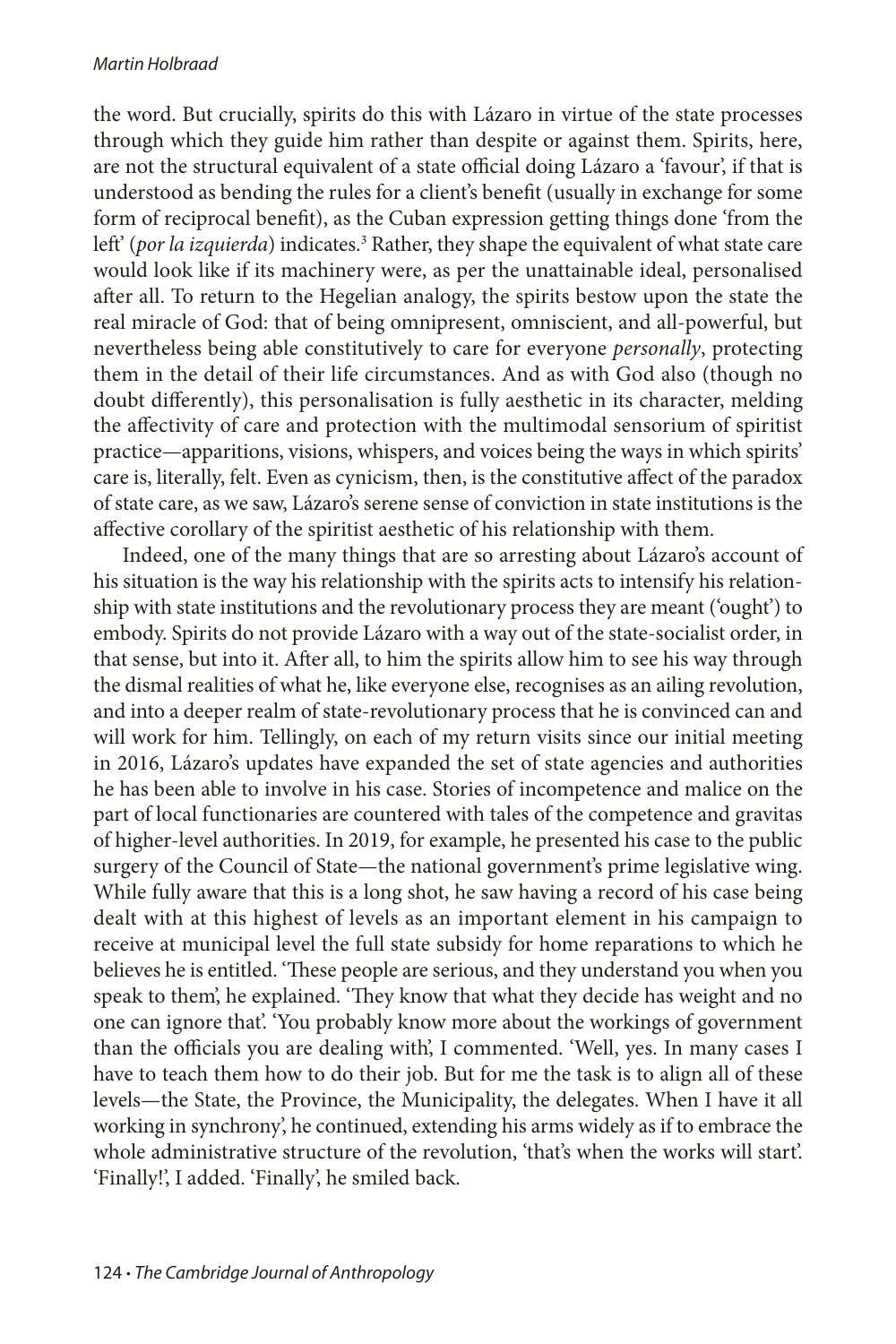#### *Martin Holbraad*

the word. But crucially, spirits do this with Lázaro in virtue of the state processes through which they guide him rather than despite or against them. Spirits, here, are not the structural equivalent of a state official doing Lázaro a 'favour', if that is understood as bending the rules for a client's benefit (usually in exchange for some form of reciprocal benefit), as the Cuban expression getting things done 'from the left' (por la izquierda) indicates.<sup>3</sup> Rather, they shape the equivalent of what state care would look like if its machinery were, as per the unattainable ideal, personalised after all. To return to the Hegelian analogy, the spirits bestow upon the state the real miracle of God: that of being omnipresent, omniscient, and all-powerful, but nevertheless being able constitutively to care for everyone *personally*, protecting them in the detail of their life circumstances. And as with God also (though no doubt differently), this personalisation is fully aesthetic in its character, melding the affectivity of care and protection with the multimodal sensorium of spiritist practice—apparitions, visions, whispers, and voices being the ways in which spirits' care is, literally, felt. Even as cynicism, then, is the constitutive affect of the paradox of state care, as we saw, Lázaro's serene sense of conviction in state institutions is the affective corollary of the spiritist aesthetic of his relationship with them.

Indeed, one of the many things that are so arresting about Lázaro's account of his situation is the way his relationship with the spirits acts to intensify his relationship with state institutions and the revolutionary process they are meant ('ought') to embody. Spirits do not provide Lázaro with a way out of the state-socialist order, in that sense, but into it. After all, to him the spirits allow him to see his way through the dismal realities of what he, like everyone else, recognises as an ailing revolution, and into a deeper realm of state-revolutionary process that he is convinced can and will work for him. Tellingly, on each of my return visits since our initial meeting in 2016, Lázaro's updates have expanded the set of state agencies and authorities he has been able to involve in his case. Stories of incompetence and malice on the part of local functionaries are countered with tales of the competence and gravitas of higher-level authorities. In 2019, for example, he presented his case to the public surgery of the Council of State—the national government's prime legislative wing. While fully aware that this is a long shot, he saw having a record of his case being dealt with at this highest of levels as an important element in his campaign to receive at municipal level the full state subsidy for home reparations to which he believes he is entitled. 'These people are serious, and they understand you when you speak to them', he explained. 'They know that what they decide has weight and no one can ignore that'. 'You probably know more about the workings of government than the officials you are dealing with', I commented. 'Well, yes. In many cases I have to teach them how to do their job. But for me the task is to align all of these levels—the State, the Province, the Municipality, the delegates. When I have it all working in synchrony', he continued, extending his arms widely as if to embrace the whole administrative structure of the revolution, 'that's when the works will start'. 'Finally!', I added. 'Finally', he smiled back.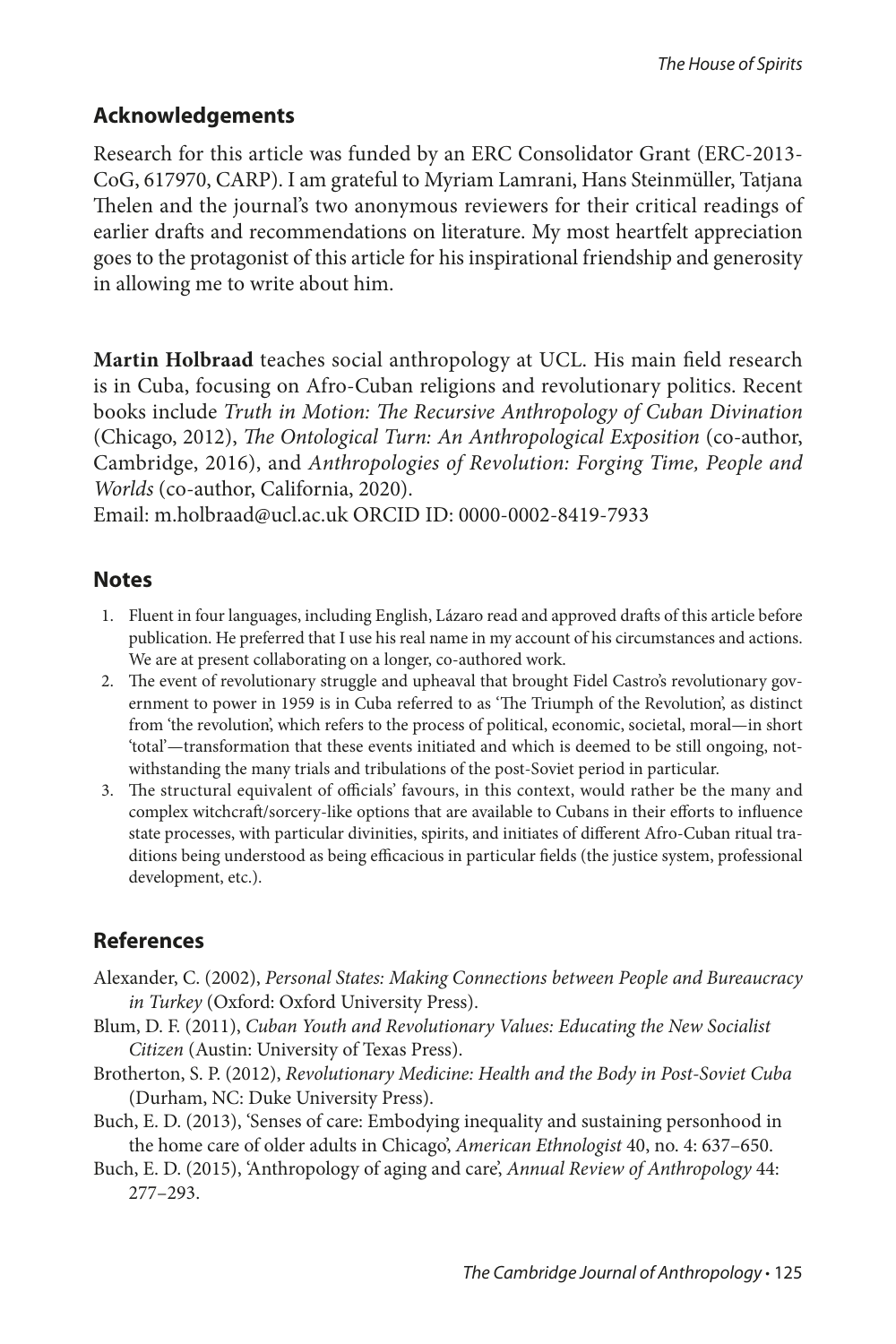#### **Acknowledgements**

Research for this article was funded by an ERC Consolidator Grant (ERC-2013- CoG, 617970, CARP). I am grateful to Myriam Lamrani, Hans Steinmüller, Tatjana Thelen and the journal's two anonymous reviewers for their critical readings of earlier drafts and recommendations on literature. My most heartfelt appreciation goes to the protagonist of this article for his inspirational friendship and generosity in allowing me to write about him.

**Martin Holbraad** teaches social anthropology at UCL. His main field research is in Cuba, focusing on Afro-Cuban religions and revolutionary politics. Recent books include *Truth in Motion: The Recursive Anthropology of Cuban Divination*  (Chicago, 2012), *The Ontological Turn: An Anthropological Exposition* (co-author, Cambridge, 2016), and *Anthropologies of Revolution: Forging Time, People and Worlds* (co-author, California, 2020).

Email: m.holbraad@ucl.ac.uk ORCID ID: 0000-0002-8419-7933

#### **Notes**

- 1. Fluent in four languages, including English, Lázaro read and approved drafts of this article before publication. He preferred that I use his real name in my account of his circumstances and actions. We are at present collaborating on a longer, co-authored work.
- 2. The event of revolutionary struggle and upheaval that brought Fidel Castro's revolutionary government to power in 1959 is in Cuba referred to as 'The Triumph of the Revolution', as distinct from 'the revolution', which refers to the process of political, economic, societal, moral—in short 'total'—transformation that these events initiated and which is deemed to be still ongoing, notwithstanding the many trials and tribulations of the post-Soviet period in particular.
- 3. The structural equivalent of officials' favours, in this context, would rather be the many and complex witchcraft/sorcery-like options that are available to Cubans in their efforts to influence state processes, with particular divinities, spirits, and initiates of different Afro-Cuban ritual traditions being understood as being efficacious in particular fields (the justice system, professional development, etc.).

## **References**

- Alexander, C. (2002), *Personal States: Making Connections between People and Bureaucracy in Turkey* (Oxford: Oxford University Press).
- Blum, D. F. (2011), *Cuban Youth and Revolutionary Values: Educating the New Socialist Citizen* (Austin: University of Texas Press).
- Brotherton, S. P. (2012), *Revolutionary Medicine: Health and the Body in Post-Soviet Cuba* (Durham, NC: Duke University Press).
- Buch, E. D. (2013), 'Senses of care: Embodying inequality and sustaining personhood in the home care of older adults in Chicago', *American Ethnologist* 40, no. 4: 637–650.
- Buch, E. D. (2015), 'Anthropology of aging and care', *Annual Review of Anthropology* 44: 277–293.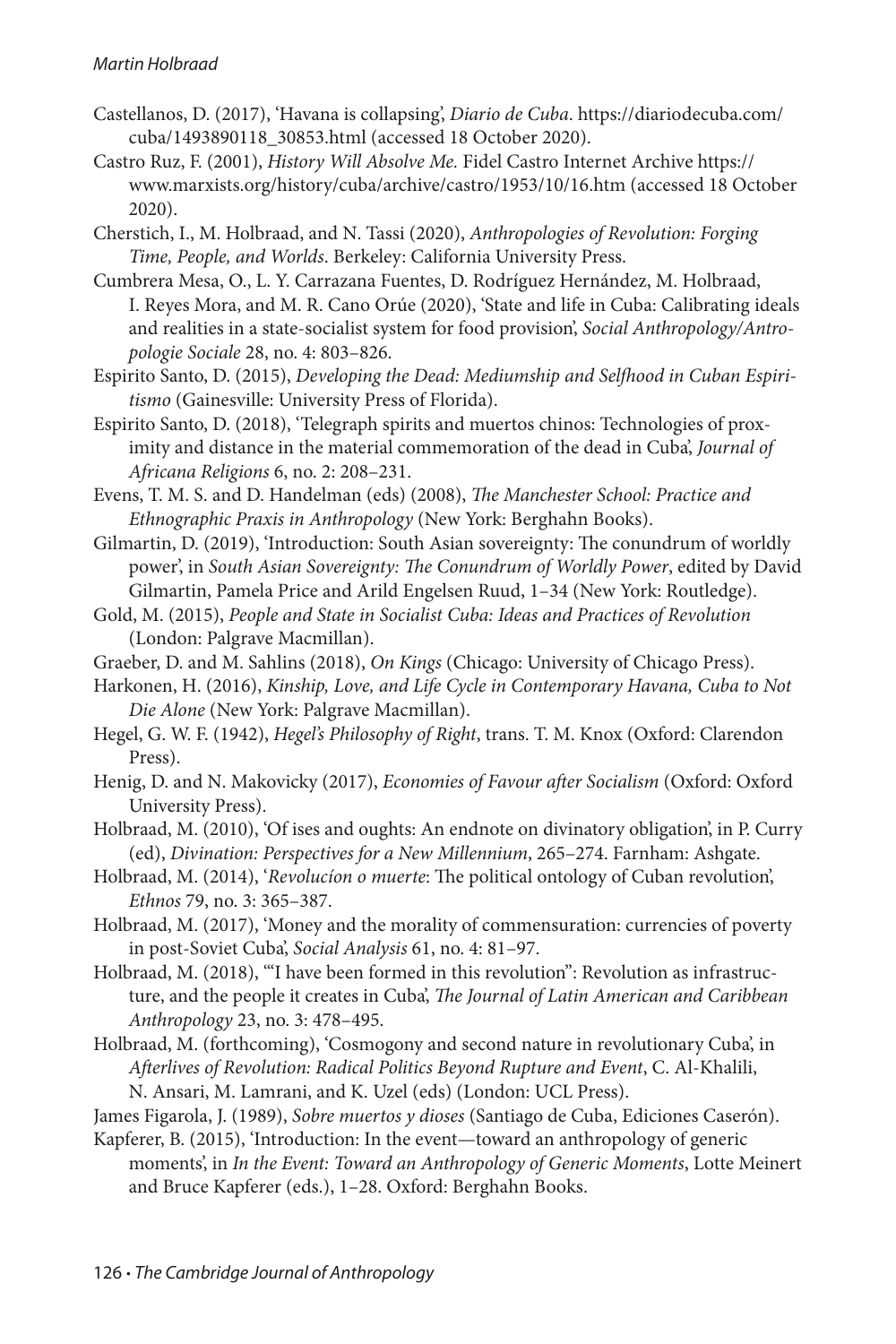#### *Martin Holbraad*

- Castellanos, D. (2017), 'Havana is collapsing', *Diario de Cuba*. https://diariodecuba.com/ cuba/1493890118\_30853.html (accessed 18 October 2020).
- Castro Ruz, F. (2001), *History Will Absolve Me.* Fidel Castro Internet Archive https:// www.marxists.org/history/cuba/archive/castro/1953/10/16.htm (accessed 18 October 2020).
- Cherstich, I., M. Holbraad, and N. Tassi (2020), *Anthropologies of Revolution: Forging Time, People, and Worlds*. Berkeley: California University Press.
- Cumbrera Mesa, O., L. Y. Carrazana Fuentes, D. Rodríguez Hernández, M. Holbraad, I. Reyes Mora, and M. R. Cano Orúe (2020), 'State and life in Cuba: Calibrating ideals and realities in a state-socialist system for food provision', *Social Anthropology/Antropologie Sociale* 28, no. 4: 803–826.
- Espirito Santo, D. (2015), *Developing the Dead: Mediumship and Selfhood in Cuban Espiritismo* (Gainesville: University Press of Florida).
- Espirito Santo, D. (2018), 'Telegraph spirits and muertos chinos: Technologies of proximity and distance in the material commemoration of the dead in Cuba', *Journal of Africana Religions* 6, no. 2: 208–231.
- Evens, T. M. S. and D. Handelman (eds) (2008), *The Manchester School: Practice and Ethnographic Praxis in Anthropology* (New York: Berghahn Books).
- Gilmartin, D. (2019), 'Introduction: South Asian sovereignty: The conundrum of worldly power', in *South Asian Sovereignty: The Conundrum of Worldly Power*, edited by David Gilmartin, Pamela Price and Arild Engelsen Ruud, 1–34 (New York: Routledge).
- Gold, M. (2015), *People and State in Socialist Cuba: Ideas and Practices of Revolution* (London: Palgrave Macmillan).
- Graeber, D. and M. Sahlins (2018), *On Kings* (Chicago: University of Chicago Press).
- Harkonen, H. (2016), *Kinship, Love, and Life Cycle in Contemporary Havana, Cuba to Not Die Alone* (New York: Palgrave Macmillan).
- Hegel, G. W. F. (1942), *Hegel's Philosophy of Right*, trans. T. M. Knox (Oxford: Clarendon Press).
- Henig, D. and N. Makovicky (2017), *Economies of Favour after Socialism* (Oxford: Oxford University Press).
- Holbraad, M. (2010), 'Of ises and oughts: An endnote on divinatory obligation', in P. Curry (ed), *Divination: Perspectives for a New Millennium*, 265–274. Farnham: Ashgate.
- Holbraad, M. (2014), '*Revolucíon o muerte*: The political ontology of Cuban revolution', *Ethnos* 79, no. 3: 365–387.
- Holbraad, M. (2017), 'Money and the morality of commensuration: currencies of poverty in post-Soviet Cuba', *Social Analysis* 61, no. 4: 81–97.
- Holbraad, M. (2018), '"I have been formed in this revolution": Revolution as infrastructure, and the people it creates in Cuba', *The Journal of Latin American and Caribbean Anthropology* 23, no. 3: 478–495.
- Holbraad, M. (forthcoming), 'Cosmogony and second nature in revolutionary Cuba', in *Afterlives of Revolution: Radical Politics Beyond Rupture and Event*, C. Al-Khalili, N. Ansari, M. Lamrani, and K. Uzel (eds) (London: UCL Press).
- James Figarola, J. (1989), *Sobre muertos y dioses* (Santiago de Cuba, Ediciones Caserón).
- Kapferer, B. (2015), 'Introduction: In the event—toward an anthropology of generic moments', in *In the Event: Toward an Anthropology of Generic Moments*, Lotte Meinert and Bruce Kapferer (eds.), 1–28. Oxford: Berghahn Books.